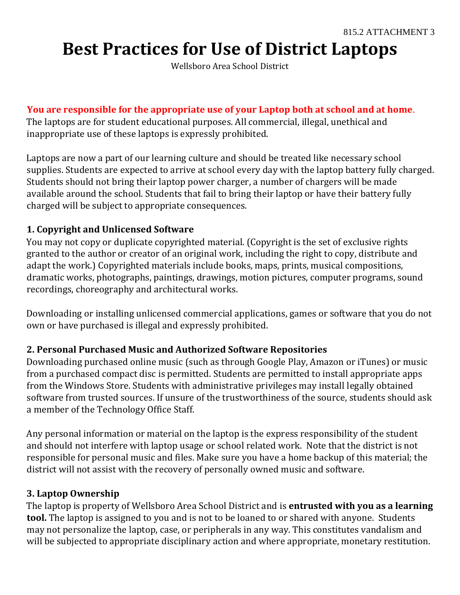# **Best Practices for Use of District Laptops**

Wellsboro Area School District

### **You are responsible for the appropriate use of your Laptop both at school and at home**.

The laptops are for student educational purposes. All commercial, illegal, unethical and inappropriate use of these laptops is expressly prohibited.

Laptops are now a part of our learning culture and should be treated like necessary school supplies. Students are expected to arrive at school every day with the laptop battery fully charged. Students should not bring their laptop power charger, a number of chargers will be made available around the school. Students that fail to bring their laptop or have their battery fully charged will be subject to appropriate consequences.

### **1. Copyright and Unlicensed Software**

You may not copy or duplicate copyrighted material. (Copyright is the set of exclusive rights granted to the author or creator of an original work, including the right to copy, distribute and adapt the work.) Copyrighted materials include books, maps, prints, musical compositions, dramatic works, photographs, paintings, drawings, motion pictures, computer programs, sound recordings, choreography and architectural works.

Downloading or installing unlicensed commercial applications, games or software that you do not own or have purchased is illegal and expressly prohibited.

### **2. Personal Purchased Music and Authorized Software Repositories**

Downloading purchased online music (such as through Google Play, Amazon or iTunes) or music from a purchased compact disc is permitted. Students are permitted to install appropriate apps from the Windows Store. Students with administrative privileges may install legally obtained software from trusted sources. If unsure of the trustworthiness of the source, students should ask a member of the Technology Office Staff.

Any personal information or material on the laptop is the express responsibility of the student and should not interfere with laptop usage or school related work. Note that the district is not responsible for personal music and files. Make sure you have a home backup of this material; the district will not assist with the recovery of personally owned music and software.

#### **3. Laptop Ownership**

The laptop is property of Wellsboro Area School District and is **entrusted with you as a learning tool.** The laptop is assigned to you and is not to be loaned to or shared with anyone. Students may not personalize the laptop, case, or peripherals in any way. This constitutes vandalism and will be subjected to appropriate disciplinary action and where appropriate, monetary restitution.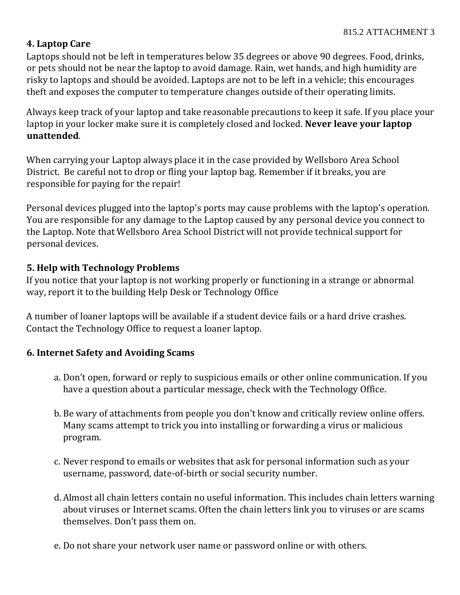## **4. Laptop Care**

Laptops should not be left in temperatures below 35 degrees or above 90 degrees. Food, drinks, or pets should not be near the laptop to avoid damage. Rain, wet hands, and high humidity are risky to laptops and should be avoided. Laptops are not to be left in a vehicle; this encourages theft and exposes the computer to temperature changes outside of their operating limits.

Always keep track of your laptop and take reasonable precautions to keep it safe. If you place your laptop in your locker make sure it is completely closed and locked. **Never leave your laptop unattended**.

When carrying your Laptop always place it in the case provided by Wellsboro Area School District. Be careful not to drop or fling your laptop bag. Remember if it breaks, you are responsible for paying for the repair!

Personal devices plugged into the laptop's ports may cause problems with the laptop's operation. You are responsible for any damage to the Laptop caused by any personal device you connect to the Laptop. Note that Wellsboro Area School District will not provide technical support for personal devices.

## **5. Help with Technology Problems**

If you notice that your laptop is not working properly or functioning in a strange or abnormal way, report it to the building Help Desk or Technology Office

A number of loaner laptops will be available if a student device fails or a hard drive crashes. Contact the Technology Office to request a loaner laptop.

### **6. Internet Safety and Avoiding Scams**

- a. Don't open, forward or reply to suspicious emails or other online communication. If you have a question about a particular message, check with the Technology Office.
- b. Be wary of attachments from people you don't know and critically review online offers. Many scams attempt to trick you into installing or forwarding a virus or malicious program.
- c. Never respond to emails or websites that ask for personal information such as your username, password, date-of-birth or social security number.
- d. Almost all chain letters contain no useful information. This includes chain letters warning about viruses or Internet scams. Often the chain letters link you to viruses or are scams themselves. Don't pass them on.
- e. Do not share your network user name or password online or with others.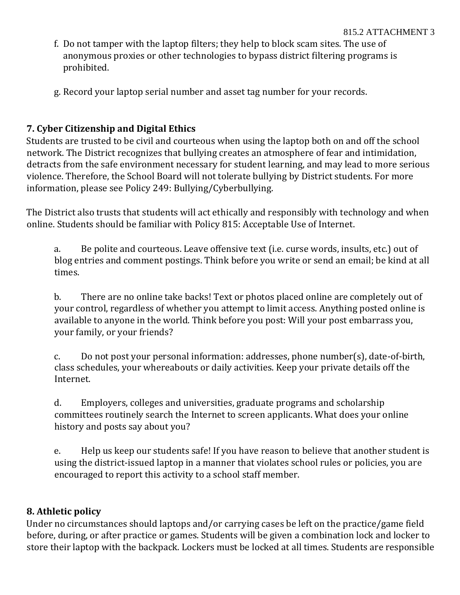- f. Do not tamper with the laptop filters; they help to block scam sites. The use of anonymous proxies or other technologies to bypass district filtering programs is prohibited.
- g. Record your laptop serial number and asset tag number for your records.

# **7. Cyber Citizenship and Digital Ethics**

Students are trusted to be civil and courteous when using the laptop both on and off the school network. The District recognizes that bullying creates an atmosphere of fear and intimidation, detracts from the safe environment necessary for student learning, and may lead to more serious violence. Therefore, the School Board will not tolerate bullying by District students. For more information, please see Policy 249: Bullying/Cyberbullying.

The District also trusts that students will act ethically and responsibly with technology and when online. Students should be familiar with Policy 815: Acceptable Use of Internet.

a. Be polite and courteous. Leave offensive text (i.e. curse words, insults, etc.) out of blog entries and comment postings. Think before you write or send an email; be kind at all times.

b. There are no online take backs! Text or photos placed online are completely out of your control, regardless of whether you attempt to limit access. Anything posted online is available to anyone in the world. Think before you post: Will your post embarrass you, your family, or your friends?

c. Do not post your personal information: addresses, phone number(s), date-of-birth, class schedules, your whereabouts or daily activities. Keep your private details off the Internet.

d. Employers, colleges and universities, graduate programs and scholarship committees routinely search the Internet to screen applicants. What does your online history and posts say about you?

e. Help us keep our students safe! If you have reason to believe that another student is using the district-issued laptop in a manner that violates school rules or policies, you are encouraged to report this activity to a school staff member.

# **8. Athletic policy**

Under no circumstances should laptops and/or carrying cases be left on the practice/game field before, during, or after practice or games. Students will be given a combination lock and locker to store their laptop with the backpack. Lockers must be locked at all times. Students are responsible